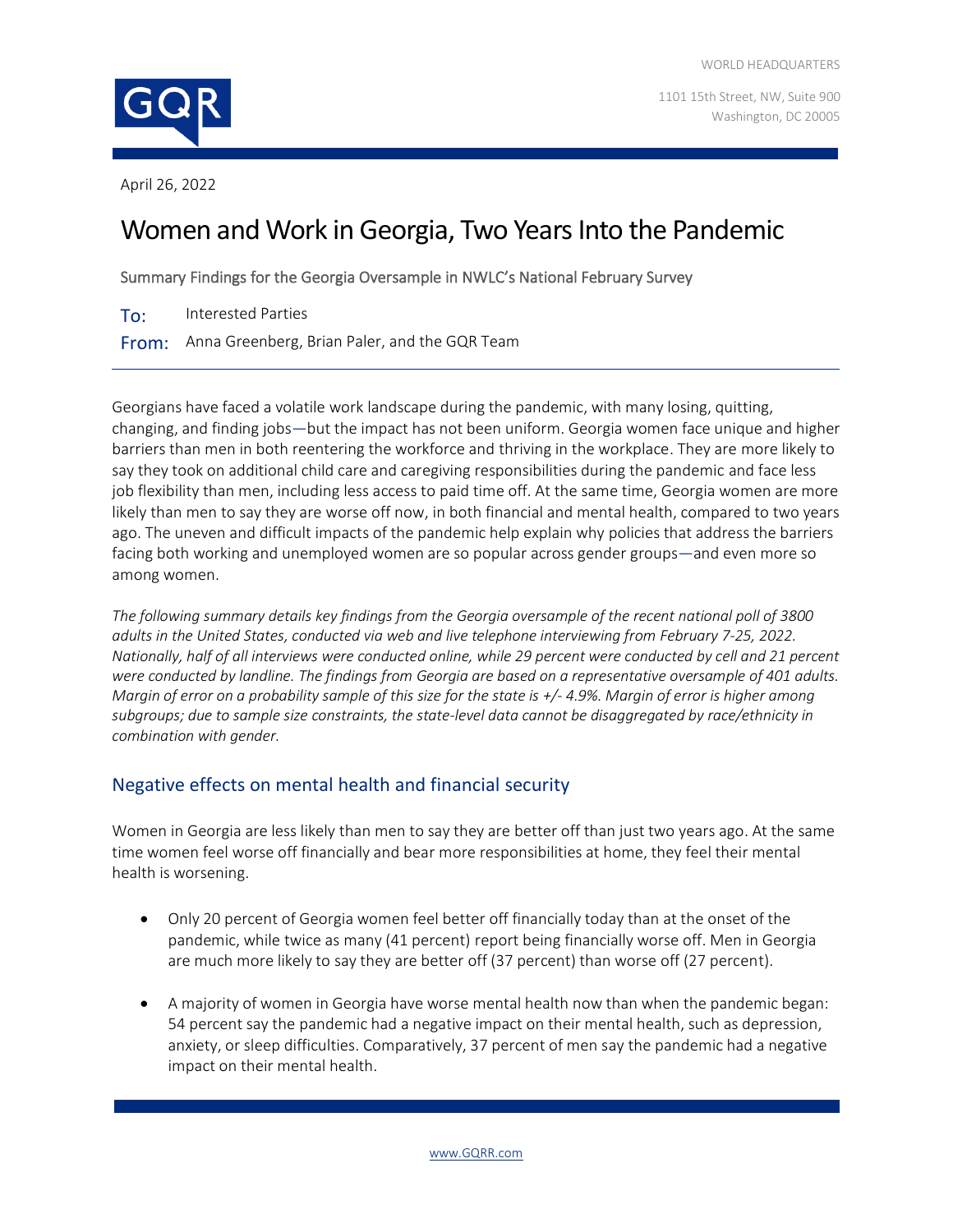1101 15th Street, NW, Suite 900 Washington, DC 20005

April 26, 2022

# Women and Work in Georgia, Two Years Into the Pandemic

Summary Findings for the Georgia Oversample in NWLC's National February Survey

To: Interested Parties

From: Anna Greenberg, Brian Paler, and the GQR Team

Georgians have faced a volatile work landscape during the pandemic, with many losing, quitting, changing, and finding jobs—but the impact has not been uniform. Georgia women face unique and higher barriers than men in both reentering the workforce and thriving in the workplace. They are more likely to say they took on additional child care and caregiving responsibilities during the pandemic and face less job flexibility than men, including less access to paid time off. At the same time, Georgia women are more likely than men to say they are worse off now, in both financial and mental health, compared to two years ago. The uneven and difficult impacts of the pandemic help explain why policies that address the barriers facing both working and unemployed women are so popular across gender groups—and even more so among women.

*The following summary details key findings from the Georgia oversample of the recent national poll of 3800 adults in the United States, conducted via web and live telephone interviewing from February 7-25, 2022. Nationally, half of all interviews were conducted online, while 29 percent were conducted by cell and 21 percent were conducted by landline. The findings from Georgia are based on a representative oversample of 401 adults. Margin of error on a probability sample of this size for the state is +/- 4.9%. Margin of error is higher among subgroups; due to sample size constraints, the state-level data cannot be disaggregated by race/ethnicity in combination with gender.*

## Negative effects on mental health and financial security

Women in Georgia are less likely than men to say they are better off than just two years ago. At the same time women feel worse off financially and bear more responsibilities at home, they feel their mental health is worsening.

- Only 20 percent of Georgia women feel better off financially today than at the onset of the pandemic, while twice as many (41 percent) report being financially worse off. Men in Georgia are much more likely to say they are better off (37 percent) than worse off (27 percent).
- A majority of women in Georgia have worse mental health now than when the pandemic began: 54 percent say the pandemic had a negative impact on their mental health, such as depression, anxiety, or sleep difficulties. Comparatively, 37 percent of men say the pandemic had a negative impact on their mental health.

[www.GQRR.com](http://www.gqrr.com/)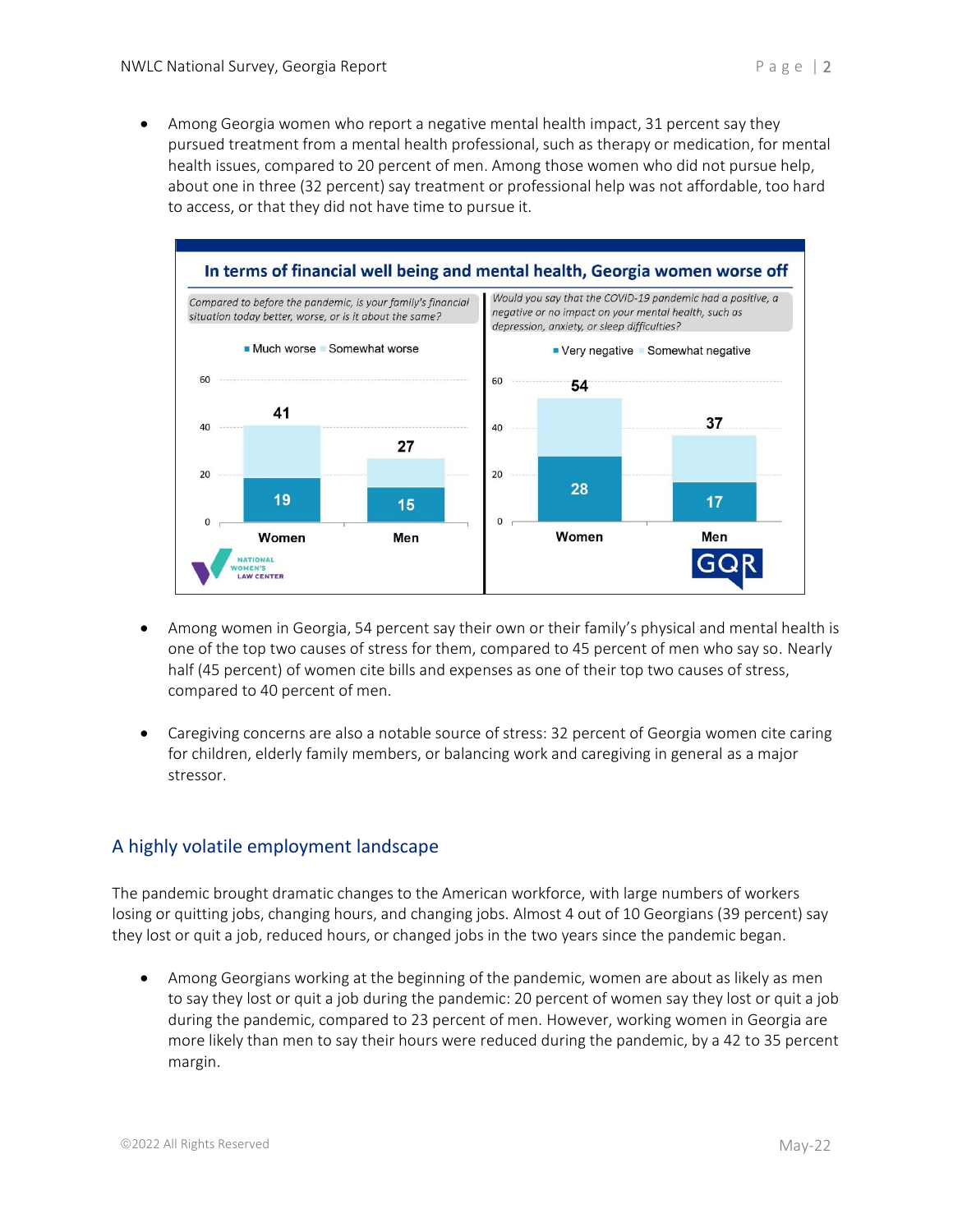• Among Georgia women who report a negative mental health impact, 31 percent say they pursued treatment from a mental health professional, such as therapy or medication, for mental health issues, compared to 20 percent of men. Among those women who did not pursue help, about one in three (32 percent) say treatment or professional help was not affordable, too hard to access, or that they did not have time to pursue it.



- Among women in Georgia, 54 percent say their own or their family's physical and mental health is one of the top two causes of stress for them, compared to 45 percent of men who say so. Nearly half (45 percent) of women cite bills and expenses as one of their top two causes of stress, compared to 40 percent of men.
- Caregiving concerns are also a notable source of stress: 32 percent of Georgia women cite caring for children, elderly family members, or balancing work and caregiving in general as a major stressor.

## A highly volatile employment landscape

The pandemic brought dramatic changes to the American workforce, with large numbers of workers losing or quitting jobs, changing hours, and changing jobs. Almost 4 out of 10 Georgians (39 percent) say they lost or quit a job, reduced hours, or changed jobs in the two years since the pandemic began.

• Among Georgians working at the beginning of the pandemic, women are about as likely as men to say they lost or quit a job during the pandemic: 20 percent of women say they lost or quit a job during the pandemic, compared to 23 percent of men. However, working women in Georgia are more likely than men to say their hours were reduced during the pandemic, by a 42 to 35 percent margin.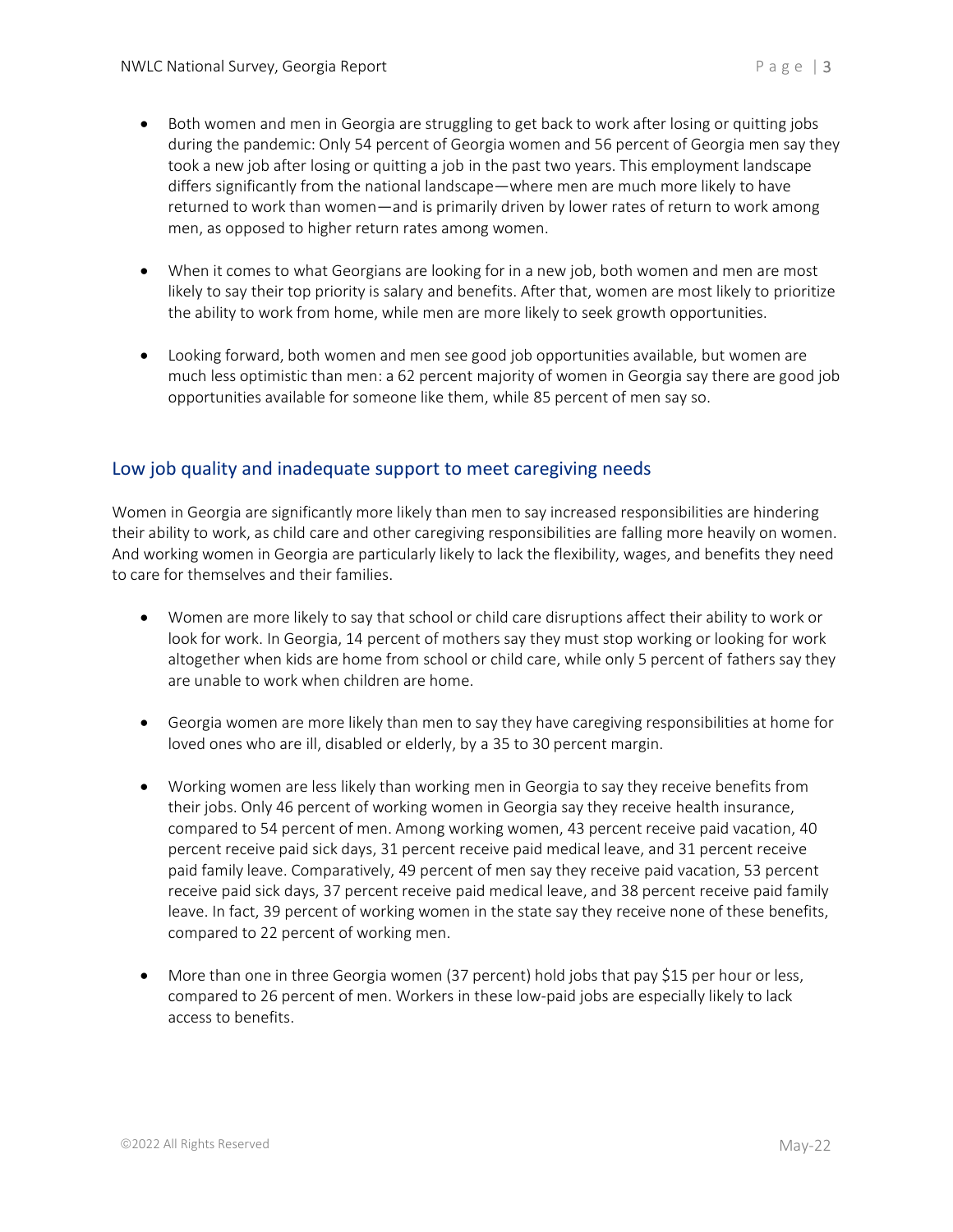- Both women and men in Georgia are struggling to get back to work after losing or quitting jobs during the pandemic: Only 54 percent of Georgia women and 56 percent of Georgia men say they took a new job after losing or quitting a job in the past two years. This employment landscape differs significantly from the national landscape—where men are much more likely to have returned to work than women—and is primarily driven by lower rates of return to work among men, as opposed to higher return rates among women.
- When it comes to what Georgians are looking for in a new job, both women and men are most likely to say their top priority is salary and benefits. After that, women are most likely to prioritize the ability to work from home, while men are more likely to seek growth opportunities.
- Looking forward, both women and men see good job opportunities available, but women are much less optimistic than men: a 62 percent majority of women in Georgia say there are good job opportunities available for someone like them, while 85 percent of men say so.

### Low job quality and inadequate support to meet caregiving needs

Women in Georgia are significantly more likely than men to say increased responsibilities are hindering their ability to work, as child care and other caregiving responsibilities are falling more heavily on women. And working women in Georgia are particularly likely to lack the flexibility, wages, and benefits they need to care for themselves and their families.

- Women are more likely to say that school or child care disruptions affect their ability to work or look for work. In Georgia, 14 percent of mothers say they must stop working or looking for work altogether when kids are home from school or child care, while only 5 percent of fathers say they are unable to work when children are home.
- Georgia women are more likely than men to say they have caregiving responsibilities at home for loved ones who are ill, disabled or elderly, by a 35 to 30 percent margin.
- Working women are less likely than working men in Georgia to say they receive benefits from their jobs. Only 46 percent of working women in Georgia say they receive health insurance, compared to 54 percent of men. Among working women, 43 percent receive paid vacation, 40 percent receive paid sick days, 31 percent receive paid medical leave, and 31 percent receive paid family leave. Comparatively, 49 percent of men say they receive paid vacation, 53 percent receive paid sick days, 37 percent receive paid medical leave, and 38 percent receive paid family leave. In fact, 39 percent of working women in the state say they receive none of these benefits, compared to 22 percent of working men.
- More than one in three Georgia women (37 percent) hold jobs that pay \$15 per hour or less, compared to 26 percent of men. Workers in these low-paid jobs are especially likely to lack access to benefits.